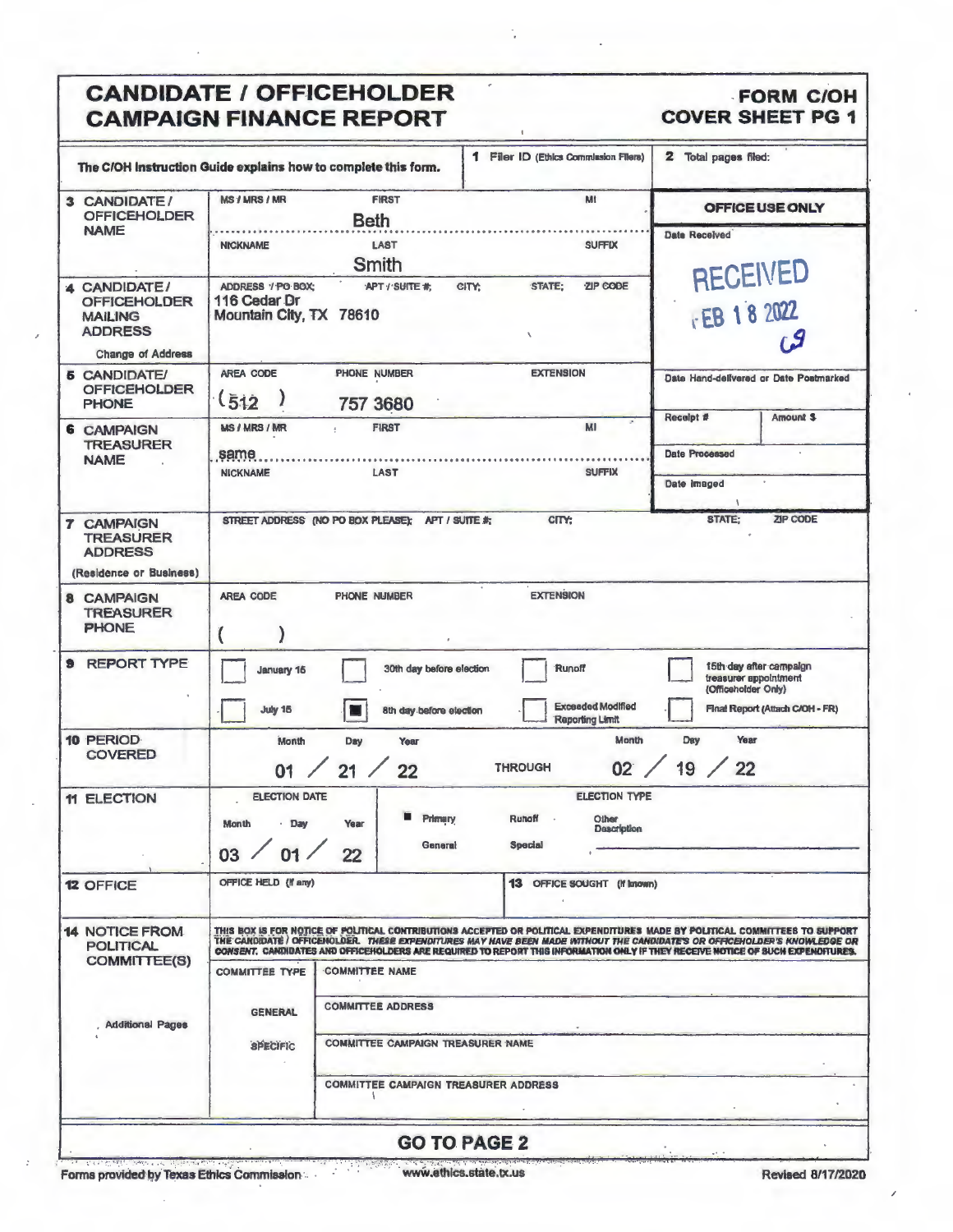### **CANDIDATE / OFFICEHOLDER CAMPAIGN FINANCE REPORT**

#### **FORM C/OH COVER SHEET PG 1**

| The C/OH Instruction Guide explains how to complete this form.                                      |                                                              |                                                                                                                       | 1 Filer ID (Ethics Commission Filers)                                                                                                                                                                                                                                                                                                                                                         | 2 Total pages filed:          |                                                                                     |
|-----------------------------------------------------------------------------------------------------|--------------------------------------------------------------|-----------------------------------------------------------------------------------------------------------------------|-----------------------------------------------------------------------------------------------------------------------------------------------------------------------------------------------------------------------------------------------------------------------------------------------------------------------------------------------------------------------------------------------|-------------------------------|-------------------------------------------------------------------------------------|
| 3 CANDIDATE/<br><b>OFFICEHOLDER</b>                                                                 | <b>MS / MRS / MR</b>                                         | <b>FIRST</b><br><b>Beth</b>                                                                                           | Mt                                                                                                                                                                                                                                                                                                                                                                                            |                               | OFFICE USE ONLY                                                                     |
| <b>NAME</b>                                                                                         | <b>NICKNAME</b>                                              | <b>LAST</b><br>Smith                                                                                                  | <b>SUFFIX</b>                                                                                                                                                                                                                                                                                                                                                                                 | <b>Date Received</b>          | <b>RECEIVED</b>                                                                     |
| 4 CANDIDATE/<br><b>OFFICEHOLDER</b><br><b>MAILING</b><br><b>ADDRESS</b><br><b>Change of Address</b> | ADDRESS / PO BOX:<br>116 Cedar Dr<br>Mountain City, TX 78610 | APT / SUITE #                                                                                                         | CITY:<br>STATE:<br>ZIP CODE                                                                                                                                                                                                                                                                                                                                                                   | FEB 18 2022                   |                                                                                     |
| <b>6 CANDIDATE/</b><br><b>OFFICEHOLDER</b><br><b>PHONE</b>                                          | <b>AREA CODE</b><br>(512)                                    | PHONE NUMBER<br>757 3680                                                                                              | <b>EXTENSION</b>                                                                                                                                                                                                                                                                                                                                                                              | Receipt #                     | Date Hand-delivered or Date Postmarked<br><b>Amount S</b>                           |
| <b>6 CAMPAIGN</b><br><b>TREASURER</b><br><b>NAME</b>                                                | <b>MS / MRS / MR</b><br>same<br><b>NICKNAME</b>              | <b>FIRST</b><br>÷<br><b>LAST</b>                                                                                      | ×.<br>MI<br><b>SUFFIX</b>                                                                                                                                                                                                                                                                                                                                                                     | Date Processed<br>Date Imaged |                                                                                     |
| <b>7 CAMPAIGN</b><br><b>TREASURER</b><br><b>ADDRESS</b><br>(Residence or Business)                  |                                                              | STREET ADDRESS (NO PO BOX PLEASE); APT / SUITE #;                                                                     | CITY:                                                                                                                                                                                                                                                                                                                                                                                         | V<br>STATE:                   | ZIP CODE                                                                            |
| <b>8 CAMPAIGN</b><br><b>TREASURER</b><br><b>PHONE</b>                                               | <b>AREA CODE</b>                                             | <b>PHONE NUMBER</b>                                                                                                   | <b>EXTENSION</b>                                                                                                                                                                                                                                                                                                                                                                              |                               |                                                                                     |
| <b>REPORT TYPE</b><br>э                                                                             | January 15<br><b>July 15</b>                                 | 30th day before election<br>8th day before election                                                                   | Runoff<br><b>Exceeded Modified</b><br><b>Reporting Limit</b>                                                                                                                                                                                                                                                                                                                                  | (Officeholder Only)           | 15th day after campaign<br>treasurer appointment<br>Finat Report (Attach C/OH - FR) |
| 10 PERIOD<br><b>COVERED</b>                                                                         | Month<br>01                                                  | Day<br>Year<br>21/<br>22                                                                                              | Month<br>02<br><b>THROUGH</b>                                                                                                                                                                                                                                                                                                                                                                 | Year<br>Day<br>19 / 22        |                                                                                     |
| <b>11 ELECTION</b>                                                                                  | <b>ELECTION DATE</b><br>Month<br>$-$ Day<br>03 / 01 /        | <b>Primary</b><br>Year<br>General<br>22                                                                               | <b>ELECTION TYPE</b><br>Runoff<br>$\sim$<br>Other<br>Description<br><b>Special</b>                                                                                                                                                                                                                                                                                                            |                               |                                                                                     |
| <b>12 OFFICE</b>                                                                                    | OFFICE HELD (If any)                                         |                                                                                                                       | 13 OFFICE SOUGHT (If Imown)                                                                                                                                                                                                                                                                                                                                                                   |                               |                                                                                     |
| <b>14 NOTICE FROM</b><br><b>POLITICAL</b><br><b>COMMITTEE(S)</b>                                    |                                                              |                                                                                                                       | THIS BOX IS FOR NOTICE OF POLITICAL CONTRIBUTIONS ACCEPTED OR POLITICAL EXPENDITURES MADE BY POLITICAL COMMITTEES TO SUPPORT<br>THE CANDIDATE / OFFICEHOLDER. THESE EXPENDITURES MAY HAVE BEEN MADE WITHOUT THE CANDIDATE'S OR OFFICEHOLDER'S KNOWLEDGE OR<br>CONSENT. CANDIDATES AND OFFICEHOLDERS ARE REQUIRED TO REPORT THIS INFORMATION OHLY IF THEY RECEIVE NOTICE OF SUCH EXPENDITURES. |                               |                                                                                     |
|                                                                                                     | <b>COMMITTEE TYPE</b><br><b>GENERAL</b>                      | <b>COMMITTEE NAME</b><br><b>COMMITTEE ADDRESS</b>                                                                     |                                                                                                                                                                                                                                                                                                                                                                                               |                               |                                                                                     |
| <b>Additional Pages</b>                                                                             | <b>SPECIFIC</b>                                              | <b>COMMITTEE CAMPAIGN TREASURER NAME</b>                                                                              |                                                                                                                                                                                                                                                                                                                                                                                               |                               |                                                                                     |
|                                                                                                     |                                                              | <b>COMMITTEE CAMPAIGN TREASURER ADDRESS</b>                                                                           |                                                                                                                                                                                                                                                                                                                                                                                               |                               |                                                                                     |
|                                                                                                     |                                                              |                                                                                                                       | <b>GO TO PAGE 2</b>                                                                                                                                                                                                                                                                                                                                                                           |                               |                                                                                     |
| <u> Policia de Partidente de la provincia de la p</u>                                               |                                                              | <u> 1999 - John Harry Barbara, ang mga Kabupatèn Langgaran at Panganggaran Singapuran Singapuran Singapuran Singa</u> |                                                                                                                                                                                                                                                                                                                                                                                               |                               |                                                                                     |

é

 $\label{eq:2} \frac{\partial}{\partial t}=\frac{\partial}{\partial t}\frac{\partial}{\partial t}\frac{\partial}{\partial x}\frac{\partial}{\partial x}+\frac{\partial}{\partial t}\frac{\partial}{\partial x}\frac{\partial}{\partial x}+\frac{\partial}{\partial x}\frac{\partial}{\partial x}\frac{\partial}{\partial x}+\frac{\partial}{\partial x}\frac{\partial}{\partial x}\frac{\partial}{\partial x}+\frac{\partial}{\partial x}\frac{\partial}{\partial x}\frac{\partial}{\partial x}+\frac{\partial}{\partial x}\frac{\partial}{\partial x}\frac{\partial}{\partial x}+\frac{\partial}{\partial x}\frac{\partial}{\partial x}\frac{\partial}{\partial x}+\frac{\partial}{\partial x}\frac{\partial}{\partial x}\frac{\partial}{$ www.ethics.state.tx.us

7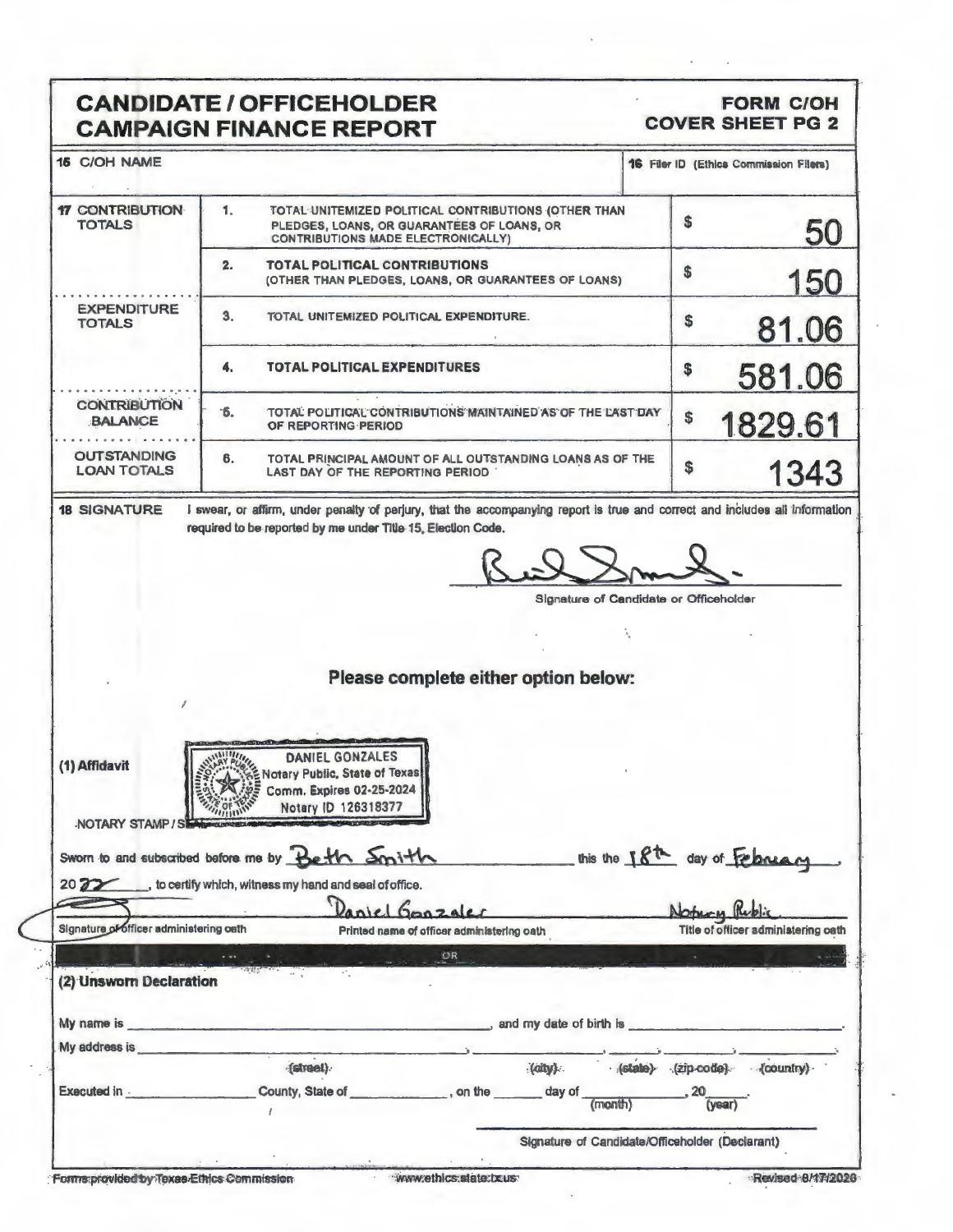# **CANDIDATE / OFFICEHOLDER<br>CAMPAIGN FINANCE REPORT**

#### **FORM C/OH COVER SHEET PG 2**

| <b>16 C/OH NAME</b>                                                                                                                                                                                                                                                        |                                                                                                                                                                                                                                |                                                             |  |                                        | <b>16 Filer ID (Ethics Commission Filers)</b> |
|----------------------------------------------------------------------------------------------------------------------------------------------------------------------------------------------------------------------------------------------------------------------------|--------------------------------------------------------------------------------------------------------------------------------------------------------------------------------------------------------------------------------|-------------------------------------------------------------|--|----------------------------------------|-----------------------------------------------|
| <b>17 CONTRIBUTION</b><br><b>TOTALS</b>                                                                                                                                                                                                                                    | 1.<br>TOTAL UNITEMIZED POLITICAL CONTRIBUTIONS (OTHER THAN<br>PLEDGES, LOANS, OR GUARANTEES OF LOANS, OR<br><b>CONTRIBUTIONS MADE ELECTRONICALLY)</b>                                                                          |                                                             |  | \$                                     | 50                                            |
|                                                                                                                                                                                                                                                                            | TOTAL POLITICAL CONTRIBUTIONS<br>2.                                                                                                                                                                                            | (OTHER THAN PLEDGES, LOANS, OR GUARANTEES OF LOANS)         |  | \$                                     | <b>150</b>                                    |
| <b>EXPENDITURE</b><br><b>TOTALS</b>                                                                                                                                                                                                                                        | 3.<br>TOTAL UNITEMIZED POLITICAL EXPENDITURE.                                                                                                                                                                                  |                                                             |  | \$                                     | 81.06                                         |
|                                                                                                                                                                                                                                                                            | 4.<br>TOTAL POLITICAL EXPENDITURES                                                                                                                                                                                             |                                                             |  | \$                                     | 581.06                                        |
| <b>CONTRIBUTION</b><br><b>BALANCE</b>                                                                                                                                                                                                                                      | <sup>-6.</sup><br>OF REPORTING PERIOD                                                                                                                                                                                          | TOTAL POLITICAL CONTRIBUTIONS MAINTAINED AS OF THE LAST DAY |  | \$                                     | 1829.61                                       |
| <b>OUTSTANDING</b><br><b>LOAN TOTALS</b>                                                                                                                                                                                                                                   | 6.<br>LAST DAY OF THE REPORTING PERIOD                                                                                                                                                                                         | TOTAL PRINCIPAL AMOUNT OF ALL OUTSTANDING LOANS AS OF THE   |  | \$                                     | 1343                                          |
| <b>18 SIGNATURE</b>                                                                                                                                                                                                                                                        | I swear, or affirm, under penalty of perjury, that the accompanying report is true and correct and includes all information                                                                                                    |                                                             |  |                                        |                                               |
|                                                                                                                                                                                                                                                                            | required to be reported by me under Title 15, Election Code.                                                                                                                                                                   |                                                             |  |                                        |                                               |
|                                                                                                                                                                                                                                                                            |                                                                                                                                                                                                                                |                                                             |  |                                        |                                               |
|                                                                                                                                                                                                                                                                            |                                                                                                                                                                                                                                |                                                             |  | Signature of Candidate or Officeholder |                                               |
|                                                                                                                                                                                                                                                                            |                                                                                                                                                                                                                                |                                                             |  |                                        |                                               |
|                                                                                                                                                                                                                                                                            |                                                                                                                                                                                                                                |                                                             |  |                                        |                                               |
|                                                                                                                                                                                                                                                                            |                                                                                                                                                                                                                                |                                                             |  |                                        |                                               |
|                                                                                                                                                                                                                                                                            |                                                                                                                                                                                                                                |                                                             |  |                                        |                                               |
|                                                                                                                                                                                                                                                                            |                                                                                                                                                                                                                                |                                                             |  |                                        |                                               |
|                                                                                                                                                                                                                                                                            |                                                                                                                                                                                                                                | Please complete either option below:                        |  |                                        |                                               |
|                                                                                                                                                                                                                                                                            |                                                                                                                                                                                                                                |                                                             |  |                                        |                                               |
|                                                                                                                                                                                                                                                                            |                                                                                                                                                                                                                                |                                                             |  |                                        |                                               |
|                                                                                                                                                                                                                                                                            | <b>Print County of Brita</b>                                                                                                                                                                                                   |                                                             |  |                                        |                                               |
|                                                                                                                                                                                                                                                                            | DANIEL GONZALES                                                                                                                                                                                                                |                                                             |  |                                        |                                               |
|                                                                                                                                                                                                                                                                            | Notary Public, State of Texas                                                                                                                                                                                                  |                                                             |  |                                        |                                               |
|                                                                                                                                                                                                                                                                            | Comm. Expires 02-25-2024                                                                                                                                                                                                       |                                                             |  |                                        |                                               |
|                                                                                                                                                                                                                                                                            | Notary ID 126318377                                                                                                                                                                                                            |                                                             |  |                                        |                                               |
|                                                                                                                                                                                                                                                                            |                                                                                                                                                                                                                                |                                                             |  |                                        |                                               |
|                                                                                                                                                                                                                                                                            |                                                                                                                                                                                                                                |                                                             |  |                                        |                                               |
|                                                                                                                                                                                                                                                                            |                                                                                                                                                                                                                                |                                                             |  |                                        |                                               |
|                                                                                                                                                                                                                                                                            |                                                                                                                                                                                                                                |                                                             |  |                                        |                                               |
|                                                                                                                                                                                                                                                                            | NOTARY STAMP/S<br>Sworn to and subscribed before me by Beth Smith<br>2022 to certify which, witness my hand and seal of office.<br>Abtury Rubbic                                                                               |                                                             |  |                                        |                                               |
| (1) Affidavit<br>Signature of officer administering oath                                                                                                                                                                                                                   |                                                                                                                                                                                                                                | Printed name of officer administering oath                  |  |                                        | Title of officer administering oath           |
|                                                                                                                                                                                                                                                                            |                                                                                                                                                                                                                                | OR                                                          |  |                                        |                                               |
|                                                                                                                                                                                                                                                                            |                                                                                                                                                                                                                                |                                                             |  |                                        |                                               |
|                                                                                                                                                                                                                                                                            |                                                                                                                                                                                                                                |                                                             |  |                                        |                                               |
|                                                                                                                                                                                                                                                                            |                                                                                                                                                                                                                                |                                                             |  |                                        |                                               |
|                                                                                                                                                                                                                                                                            | My name is example to the contract of the contract of the contract of the contract of the contract of the contract of the contract of the contract of the contract of the contract of the contract of the contract of the cont |                                                             |  |                                        |                                               |
|                                                                                                                                                                                                                                                                            |                                                                                                                                                                                                                                |                                                             |  |                                        |                                               |
|                                                                                                                                                                                                                                                                            | -(street)                                                                                                                                                                                                                      | (aity)                                                      |  | (state) (zip-code)                     | - (country)                                   |
| (2) Unsworn Declaration<br>My address is<br>Executed in - The Company of the Company of the Company of the Company of the Company of the Company of the Company of the Company of the Company of the Company of the Company of the Company of the Company of the Company o |                                                                                                                                                                                                                                |                                                             |  |                                        |                                               |
|                                                                                                                                                                                                                                                                            |                                                                                                                                                                                                                                | County, State of entries and the county, State of           |  | (year)                                 |                                               |
|                                                                                                                                                                                                                                                                            |                                                                                                                                                                                                                                |                                                             |  |                                        |                                               |
|                                                                                                                                                                                                                                                                            |                                                                                                                                                                                                                                | Signature of Candidate/Officeholder (Declarant)             |  |                                        |                                               |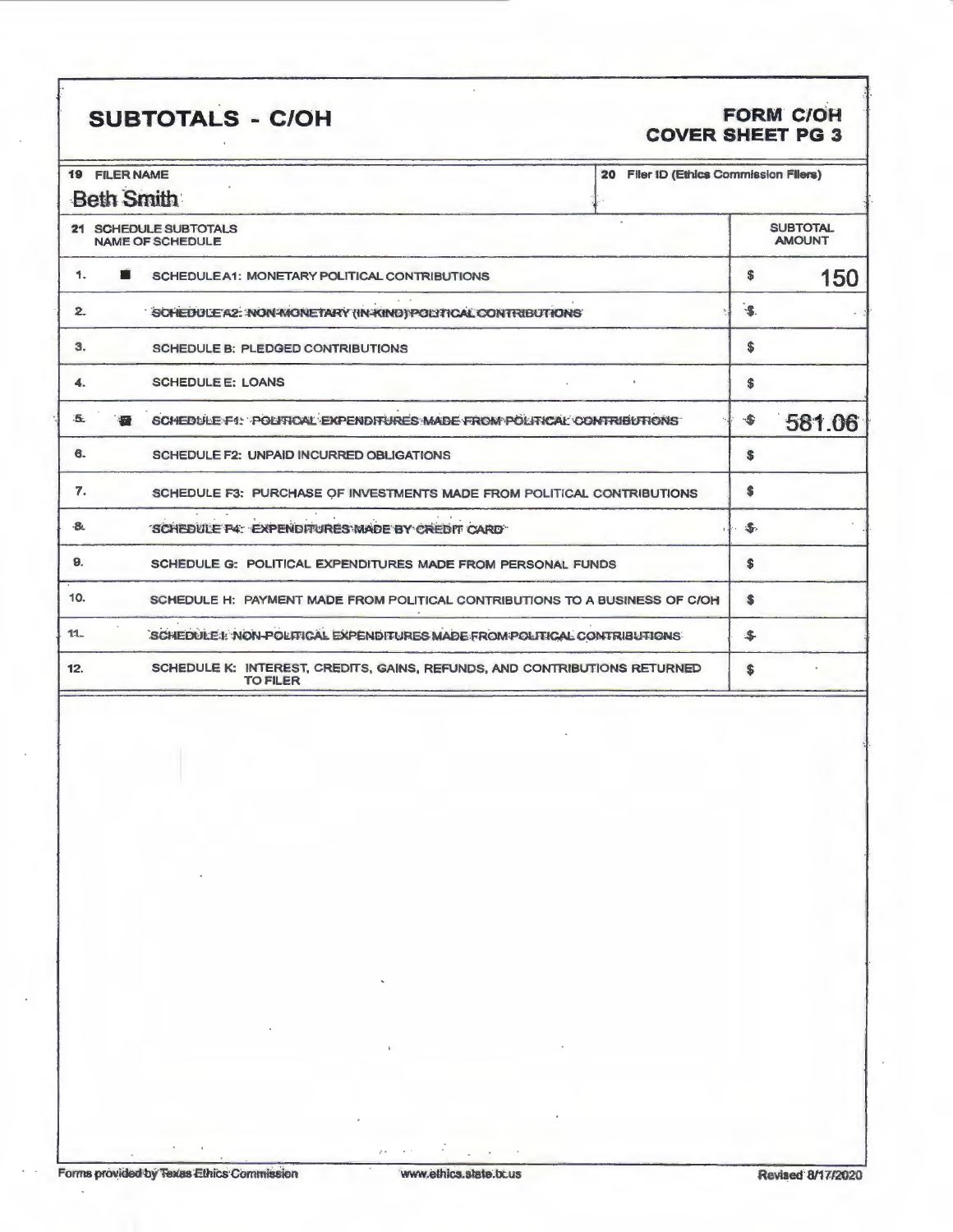## SUBTOTALS - C/OH

## FORM C/OH<br>COVER SHEET PG 3

| 19                                               | <b>FILER NAME</b>                                                                            | 20 Filer ID (Ethics Commission Filers) |              |                                  |  |
|--------------------------------------------------|----------------------------------------------------------------------------------------------|----------------------------------------|--------------|----------------------------------|--|
|                                                  | <b>Beth Smith</b>                                                                            |                                        |              |                                  |  |
| 21 SCHEDULE SUBTOTALS<br><b>NAME OF SCHEDULE</b> |                                                                                              |                                        |              | <b>SUBTOTAL</b><br><b>AMOUNT</b> |  |
| 1.                                               | SCHEDULEA1: MONETARY POLITICAL CONTRIBUTIONS                                                 |                                        | \$           | 150                              |  |
| 2                                                | SCHEDULE A2: INON-MONETARY (IN-KIND) POLITICAL CONTRIBUTIONS                                 |                                        | $-5$         |                                  |  |
| 3.                                               | <b>SCHEDULE B: PLEDGED CONTRIBUTIONS</b>                                                     |                                        | \$           |                                  |  |
| 4.                                               | <b>SCHEDULE E: LOANS</b>                                                                     |                                        | \$           |                                  |  |
| Б.                                               | SCHEDULE F1: POLITICAL EXPENDITURES MADE FROM POLITICAL CONTRIBUTIONS                        |                                        | -\$          | 581.06                           |  |
| 6.                                               | SCHEDULE F2: UNPAID INCURRED OBLIGATIONS                                                     |                                        | S            |                                  |  |
| 7.                                               | SCHEDULE F3: PURCHASE OF INVESTMENTS MADE FROM POLITICAL CONTRIBUTIONS                       |                                        | \$           |                                  |  |
| -8.                                              | SCHEDULE F4: EXPENDITURES MADE BY CREDIT CARD                                                |                                        | $\mathbb{Z}$ |                                  |  |
| 9.                                               | SCHEDULE G: POLITICAL EXPENDITURES MADE FROM PERSONAL FUNDS                                  |                                        | \$           |                                  |  |
| 10.                                              | SCHEDULE H: PAYMENT MADE FROM POLITICAL CONTRIBUTIONS TO A BUSINESS OF C/OH                  |                                        | S            |                                  |  |
| $11 -$                                           | SCHEDULE I: NON-POLITICAL EXPENDITURES MADE FROM POLITICAL CONTRIBUTIONS                     |                                        | \$           |                                  |  |
| 12.                                              | SCHEDULE K: INTEREST, CREDITS, GAINS, REFUNDS, AND CONTRIBUTIONS RETURNED<br><b>TO FILER</b> |                                        | S            |                                  |  |
|                                                  |                                                                                              |                                        |              |                                  |  |

y.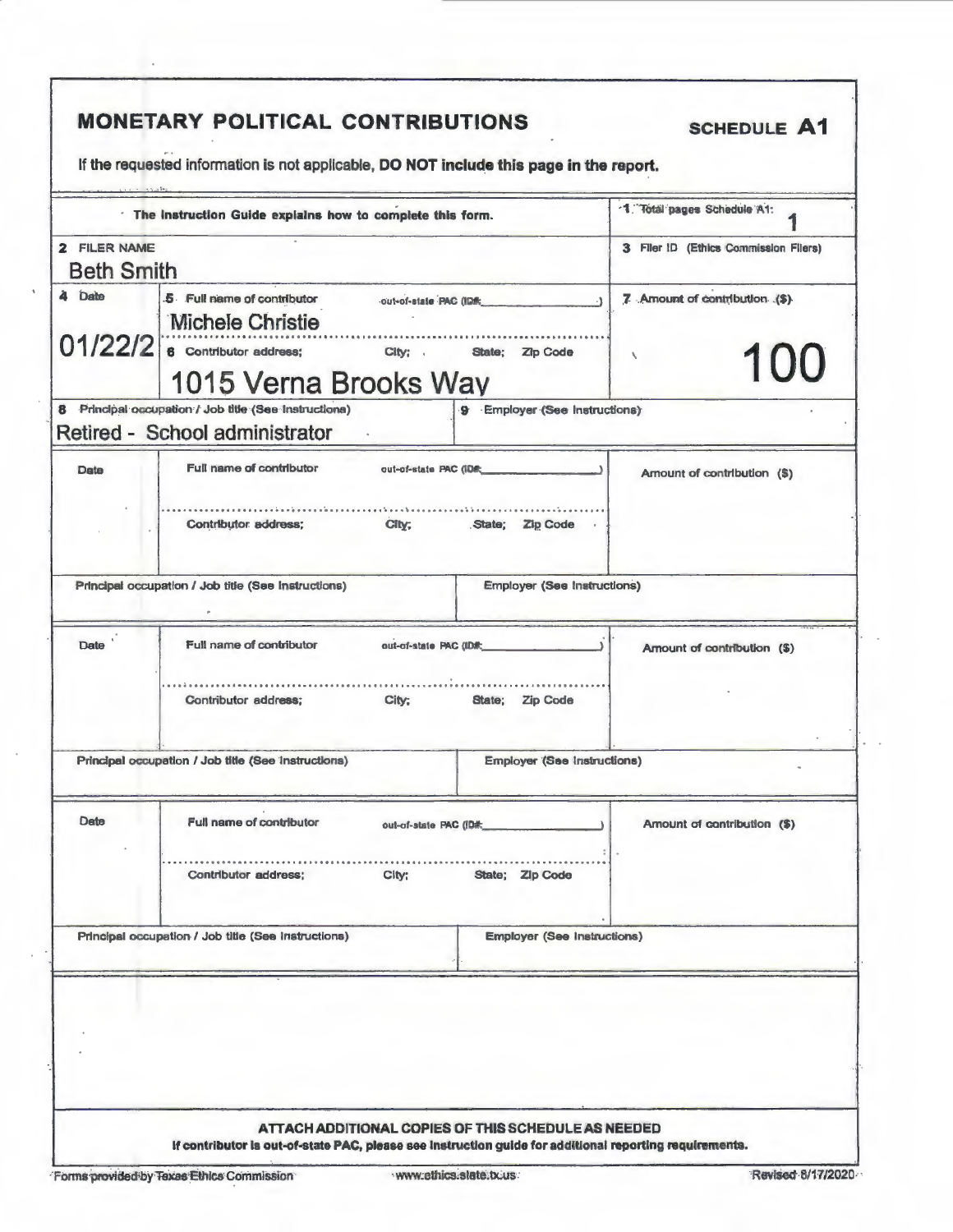| The Instruction Guide explains how to complete this form. |                                                                                                                                                             |                                    | 1. Total pages Schedule A1:           |  |
|-----------------------------------------------------------|-------------------------------------------------------------------------------------------------------------------------------------------------------------|------------------------------------|---------------------------------------|--|
| 2 FILER NAME                                              |                                                                                                                                                             |                                    | 3 Filer ID (Ethics Commission Filers) |  |
| <b>Beth Smith</b>                                         |                                                                                                                                                             |                                    |                                       |  |
| à Date                                                    | 5 Full name of contributor<br>out-of-state PAC (IDR:<br>Michele Christie<br>$01/22/2$ e Contributor address; City; State; Zip Code<br>1015 Verna Brooks Way |                                    | 7 Amount of contribution (\$)         |  |
|                                                           |                                                                                                                                                             |                                    | 100<br>$\overline{\phantom{a}}$       |  |
|                                                           | 8 Principal occupation / Job title (See Instructions)<br>Retired - School administrator                                                                     | 9 Employer (See Instructions)      |                                       |  |
| Date                                                      | Full name of contributor<br>out-of-state PAC (IDR                                                                                                           |                                    | Amount of contribution (\$)           |  |
|                                                           | Contributor address:<br>City;                                                                                                                               | State: Zip Code                    |                                       |  |
|                                                           | Principal occupation / Job title (See Instructions)                                                                                                         | <b>Employer (See Instructions)</b> |                                       |  |
| Date '                                                    | Full name of contributor<br>out-of-state PAC (ID#:                                                                                                          |                                    | Amount of contribution (\$)           |  |
|                                                           | Contributor address;<br>City:                                                                                                                               | State; Zip Code                    |                                       |  |
|                                                           | Principal occupation / Job title (See Instructions)                                                                                                         | <b>Employer (See Instructions)</b> |                                       |  |
| Date                                                      | Full name of contributor<br>out-of-state PAC (ID#:                                                                                                          |                                    | Amount of contribution (\$)           |  |
|                                                           | Contributor address;<br>Cl(y)                                                                                                                               | State; Zip Code                    |                                       |  |
|                                                           | Principal occupation / Job title (See Instructions)                                                                                                         | <b>Employer (See Instructions)</b> |                                       |  |
|                                                           |                                                                                                                                                             |                                    |                                       |  |

 $\bar{z}$